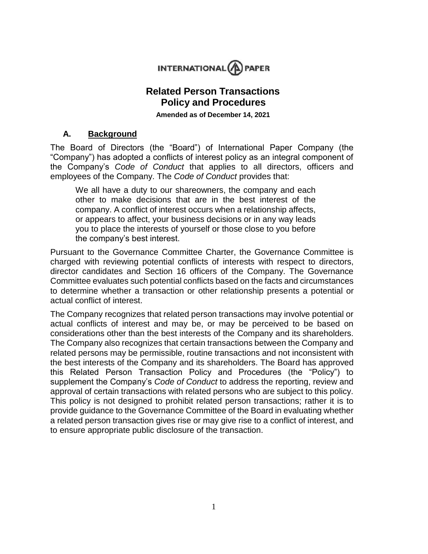

# **Related Person Transactions Policy and Procedures**

**Amended as of December 14, 2021**

#### **A. Background**

The Board of Directors (the "Board") of International Paper Company (the "Company") has adopted a conflicts of interest policy as an integral component of the Company's *Code of Conduct* that applies to all directors, officers and employees of the Company. The *Code of Conduct* provides that:

We all have a duty to our shareowners, the company and each other to make decisions that are in the best interest of the company. A conflict of interest occurs when a relationship affects, or appears to affect, your business decisions or in any way leads you to place the interests of yourself or those close to you before the company's best interest.

Pursuant to the Governance Committee Charter, the Governance Committee is charged with reviewing potential conflicts of interests with respect to directors, director candidates and Section 16 officers of the Company. The Governance Committee evaluates such potential conflicts based on the facts and circumstances to determine whether a transaction or other relationship presents a potential or actual conflict of interest.

The Company recognizes that related person transactions may involve potential or actual conflicts of interest and may be, or may be perceived to be based on considerations other than the best interests of the Company and its shareholders. The Company also recognizes that certain transactions between the Company and related persons may be permissible, routine transactions and not inconsistent with the best interests of the Company and its shareholders. The Board has approved this Related Person Transaction Policy and Procedures (the "Policy") to supplement the Company's *Code of Conduct* to address the reporting, review and approval of certain transactions with related persons who are subject to this policy. This policy is not designed to prohibit related person transactions; rather it is to provide guidance to the Governance Committee of the Board in evaluating whether a related person transaction gives rise or may give rise to a conflict of interest, and to ensure appropriate public disclosure of the transaction.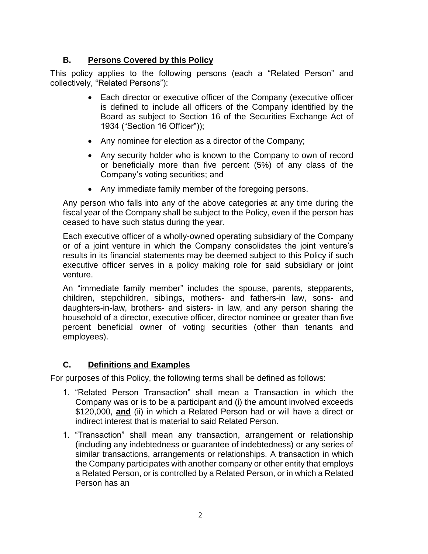## **B. Persons Covered by this Policy**

This policy applies to the following persons (each a "Related Person" and collectively, "Related Persons"):

- Each director or executive officer of the Company (executive officer is defined to include all officers of the Company identified by the Board as subject to Section 16 of the Securities Exchange Act of 1934 ("Section 16 Officer"));
- Any nominee for election as a director of the Company;
- Any security holder who is known to the Company to own of record or beneficially more than five percent (5%) of any class of the Company's voting securities; and
- Any immediate family member of the foregoing persons.

Any person who falls into any of the above categories at any time during the fiscal year of the Company shall be subject to the Policy, even if the person has ceased to have such status during the year.

Each executive officer of a wholly-owned operating subsidiary of the Company or of a joint venture in which the Company consolidates the joint venture's results in its financial statements may be deemed subject to this Policy if such executive officer serves in a policy making role for said subsidiary or joint venture.

An "immediate family member" includes the spouse, parents, stepparents, children, stepchildren, siblings, mothers- and fathers-in law, sons- and daughters-in-law, brothers- and sisters- in law, and any person sharing the household of a director, executive officer, director nominee or greater than five percent beneficial owner of voting securities (other than tenants and employees).

### **C. Definitions and Examples**

For purposes of this Policy, the following terms shall be defined as follows:

- 1. "Related Person Transaction" shall mean a Transaction in which the Company was or is to be a participant and (i) the amount involved exceeds \$120,000, **and** (ii) in which a Related Person had or will have a direct or indirect interest that is material to said Related Person.
- 1. "Transaction" shall mean any transaction, arrangement or relationship (including any indebtedness or guarantee of indebtedness) or any series of similar transactions, arrangements or relationships. A transaction in which the Company participates with another company or other entity that employs a Related Person, or is controlled by a Related Person, or in which a Related Person has an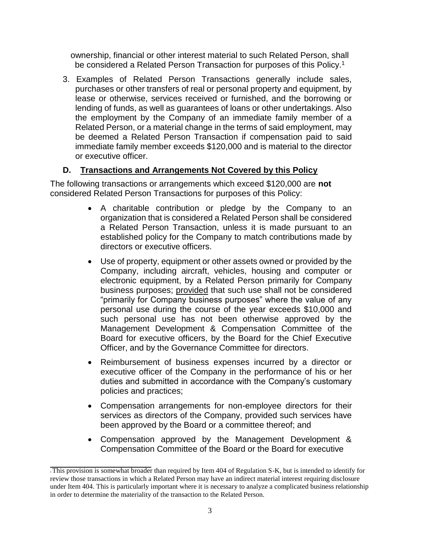ownership, financial or other interest material to such Related Person, shall be considered a Related Person Transaction for purposes of this Policy.<sup>1</sup>

3. Examples of Related Person Transactions generally include sales, purchases or other transfers of real or personal property and equipment, by lease or otherwise, services received or furnished, and the borrowing or lending of funds, as well as guarantees of loans or other undertakings. Also the employment by the Company of an immediate family member of a Related Person, or a material change in the terms of said employment, may be deemed a Related Person Transaction if compensation paid to said immediate family member exceeds \$120,000 and is material to the director or executive officer.

#### **D. Transactions and Arrangements Not Covered by this Policy**

The following transactions or arrangements which exceed \$120,000 are **not**  considered Related Person Transactions for purposes of this Policy:

- A charitable contribution or pledge by the Company to an organization that is considered a Related Person shall be considered a Related Person Transaction, unless it is made pursuant to an established policy for the Company to match contributions made by directors or executive officers.
- Use of property, equipment or other assets owned or provided by the Company, including aircraft, vehicles, housing and computer or electronic equipment, by a Related Person primarily for Company business purposes; provided that such use shall not be considered "primarily for Company business purposes" where the value of any personal use during the course of the year exceeds \$10,000 and such personal use has not been otherwise approved by the Management Development & Compensation Committee of the Board for executive officers, by the Board for the Chief Executive Officer, and by the Governance Committee for directors.
- Reimbursement of business expenses incurred by a director or executive officer of the Company in the performance of his or her duties and submitted in accordance with the Company's customary policies and practices;
- Compensation arrangements for non-employee directors for their services as directors of the Company, provided such services have been approved by the Board or a committee thereof; and
- Compensation approved by the Management Development & Compensation Committee of the Board or the Board for executive

<sup>1</sup>This provision is somewhat broader than required by Item 404 of Regulation S-K, but is intended to identify for review those transactions in which a Related Person may have an indirect material interest requiring disclosure under Item 404. This is particularly important where it is necessary to analyze a complicated business relationship in order to determine the materiality of the transaction to the Related Person.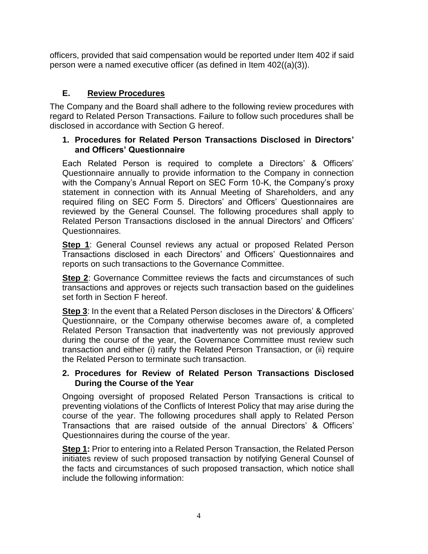officers, provided that said compensation would be reported under Item 402 if said person were a named executive officer (as defined in Item 402((a)(3)).

# **E. Review Procedures**

The Company and the Board shall adhere to the following review procedures with regard to Related Person Transactions. Failure to follow such procedures shall be disclosed in accordance with Section G hereof.

### **1. Procedures for Related Person Transactions Disclosed in Directors' and Officers' Questionnaire**

Each Related Person is required to complete a Directors' & Officers' Questionnaire annually to provide information to the Company in connection with the Company's Annual Report on SEC Form 10-K, the Company's proxy statement in connection with its Annual Meeting of Shareholders, and any required filing on SEC Form 5. Directors' and Officers' Questionnaires are reviewed by the General Counsel. The following procedures shall apply to Related Person Transactions disclosed in the annual Directors' and Officers' Questionnaires.

**Step 1**: General Counsel reviews any actual or proposed Related Person Transactions disclosed in each Directors' and Officers' Questionnaires and reports on such transactions to the Governance Committee.

**Step 2**: Governance Committee reviews the facts and circumstances of such transactions and approves or rejects such transaction based on the guidelines set forth in Section F hereof.

**Step 3**: In the event that a Related Person discloses in the Directors' & Officers' Questionnaire, or the Company otherwise becomes aware of, a completed Related Person Transaction that inadvertently was not previously approved during the course of the year, the Governance Committee must review such transaction and either (i) ratify the Related Person Transaction, or (ii) require the Related Person to terminate such transaction.

### **2. Procedures for Review of Related Person Transactions Disclosed During the Course of the Year**

Ongoing oversight of proposed Related Person Transactions is critical to preventing violations of the Conflicts of Interest Policy that may arise during the course of the year. The following procedures shall apply to Related Person Transactions that are raised outside of the annual Directors' & Officers' Questionnaires during the course of the year.

**Step 1:** Prior to entering into a Related Person Transaction, the Related Person initiates review of such proposed transaction by notifying General Counsel of the facts and circumstances of such proposed transaction, which notice shall include the following information: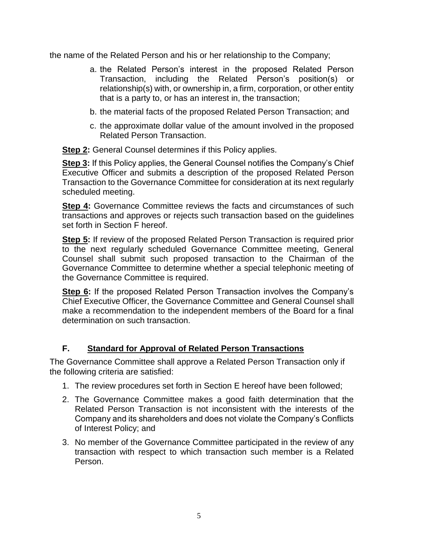the name of the Related Person and his or her relationship to the Company;

- a. the Related Person's interest in the proposed Related Person Transaction, including the Related Person's position(s) or relationship(s) with, or ownership in, a firm, corporation, or other entity that is a party to, or has an interest in, the transaction;
- b. the material facts of the proposed Related Person Transaction; and
- c. the approximate dollar value of the amount involved in the proposed Related Person Transaction.

**Step 2:** General Counsel determines if this Policy applies.

**Step 3:** If this Policy applies, the General Counsel notifies the Company's Chief Executive Officer and submits a description of the proposed Related Person Transaction to the Governance Committee for consideration at its next regularly scheduled meeting.

**Step 4:** Governance Committee reviews the facts and circumstances of such transactions and approves or rejects such transaction based on the guidelines set forth in Section F hereof.

**Step 5:** If review of the proposed Related Person Transaction is required prior to the next regularly scheduled Governance Committee meeting, General Counsel shall submit such proposed transaction to the Chairman of the Governance Committee to determine whether a special telephonic meeting of the Governance Committee is required.

Step 6: If the proposed Related Person Transaction involves the Company's Chief Executive Officer, the Governance Committee and General Counsel shall make a recommendation to the independent members of the Board for a final determination on such transaction.

## **F. Standard for Approval of Related Person Transactions**

The Governance Committee shall approve a Related Person Transaction only if the following criteria are satisfied:

- 1. The review procedures set forth in Section E hereof have been followed;
- 2. The Governance Committee makes a good faith determination that the Related Person Transaction is not inconsistent with the interests of the Company and its shareholders and does not violate the Company's Conflicts of Interest Policy; and
- 3. No member of the Governance Committee participated in the review of any transaction with respect to which transaction such member is a Related Person.